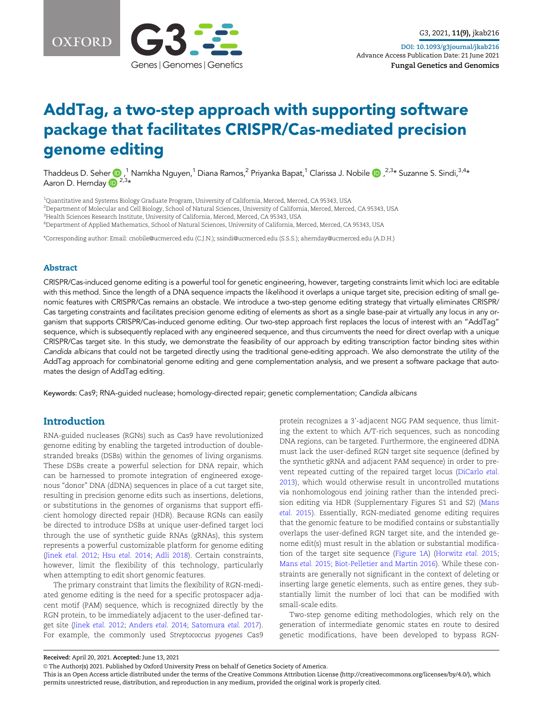



# AddTag, a two-step approach with supporting software package that facilitates CRISPR/Cas-mediated precision genome editing

Thaddeus D. Seher (D, <sup>1</sup> Namkha Nguyen, <sup>1</sup> Diana Ramos, <sup>2</sup> Priyanka Bapat, <sup>1</sup> Clarissa J. Nobile (D, <sup>2,3</sup>\* Suzanne S. Sindi, <sup>3,4</sup>\* Aaron D. Hernday  $\mathbb{D}^{2,3*}$ 

 Quantitative and Systems Biology Graduate Program, University of California, Merced, Merced, CA 95343, USA Department of Molecular and Cell Biology, School of Natural Sciences, University of California, Merced, Merced, CA 95343, USA  $^3$ Health Sciences Research Institute, University of California, Merced, Merced, CA 95343, USA Department of Applied Mathematics, School of Natural Sciences, University of California, Merced, Merced, CA 95343, USA

\*Corresponding author: Email: cnobile@ucmerced.edu (C.J.N.); ssindi@ucmerced.edu (S.S.S.); ahernday@ucmerced.edu (A.D.H.)

#### Abstract

CRISPR/Cas-induced genome editing is a powerful tool for genetic engineering, however, targeting constraints limit which loci are editable with this method. Since the length of a DNA sequence impacts the likelihood it overlaps a unique target site, precision editing of small genomic features with CRISPR/Cas remains an obstacle. We introduce a two-step genome editing strategy that virtually eliminates CRISPR/ Cas targeting constraints and facilitates precision genome editing of elements as short as a single base-pair at virtually any locus in any organism that supports CRISPR/Cas-induced genome editing. Our two-step approach first replaces the locus of interest with an "AddTag" sequence, which is subsequently replaced with any engineered sequence, and thus circumvents the need for direct overlap with a unique CRISPR/Cas target site. In this study, we demonstrate the feasibility of our approach by editing transcription factor binding sites within Candida albicans that could not be targeted directly using the traditional gene-editing approach. We also demonstrate the utility of the AddTag approach for combinatorial genome editing and gene complementation analysis, and we present a software package that automates the design of AddTag editing.

Keywords: Cas9; RNA-guided nuclease; homology-directed repair; genetic complementation; Candida albicans

# Introduction

RNA-guided nucleases (RGNs) such as Cas9 have revolutionized genome editing by enabling the targeted introduction of doublestranded breaks (DSBs) within the genomes of living organisms. These DSBs create a powerful selection for DNA repair, which can be harnessed to promote integration of engineered exogenous "donor" DNA (dDNA) sequences in place of a cut target site, resulting in precision genome edits such as insertions, deletions, or substitutions in the genomes of organisms that support efficient homology directed repair (HDR). Because RGNs can easily be directed to introduce DSBs at unique user-defined target loci through the use of synthetic guide RNAs (gRNAs), this system represents a powerful customizable platform for genome editing ([Jinek](#page-9-0) etal. 2012; Hsu etal. [2014;](#page-9-0) [Adli 2018](#page-8-0)). Certain constraints, however, limit the flexibility of this technology, particularly when attempting to edit short genomic features.

The primary constraint that limits the flexibility of RGN-mediated genome editing is the need for a specific protospacer adjacent motif (PAM) sequence, which is recognized directly by the RGN protein, to be immediately adjacent to the user-defined target site [\(Jinek](#page-9-0) etal. 2012; [Anders](#page-8-0) etal. 2014; [Satomura](#page-9-0) etal. 2017). For example, the commonly used Streptococcus pyogenes Cas9

protein recognizes a 3'-adjacent NGG PAM sequence, thus limiting the extent to which A/T-rich sequences, such as noncoding DNA regions, can be targeted. Furthermore, the engineered dDNA must lack the user-defined RGN target site sequence (defined by the synthetic gRNA and adjacent PAM sequence) in order to prevent repeated cutting of the repaired target locus ([DiCarlo](#page-8-0) etal. [2013\)](#page-8-0), which would otherwise result in uncontrolled mutations via nonhomologous end joining rather than the intended precision editing via HDR (Supplementary Figures S1 and S2) [\(Mans](#page-9-0) etal. [2015](#page-9-0)). Essentially, RGN-mediated genome editing requires that the genomic feature to be modified contains or substantially overlaps the user-defined RGN target site, and the intended genome edit(s) must result in the ablation or substantial modification of the target site sequence ([Figure 1A](#page-1-0)) ([Horwitz](#page-9-0) etal. 2015; [Mans](#page-9-0) etal. 2015; [Biot-Pelletier and Martin 2016](#page-8-0)). While these constraints are generally not significant in the context of deleting or inserting large genetic elements, such as entire genes, they substantially limit the number of loci that can be modified with small-scale edits.

Two-step genome editing methodologies, which rely on the generation of intermediate genomic states en route to desired genetic modifications, have been developed to bypass RGN-

Received: April 20, 2021. Accepted: June 13, 2021

V<sup>C</sup> The Author(s) 2021. Published by Oxford University Press on behalf of Genetics Society of America.

This is an Open Access article distributed under the terms of the Creative Commons Attribution License (http://creativecommons.org/licenses/by/4.0/), which permits unrestricted reuse, distribution, and reproduction in any medium, provided the original work is properly cited.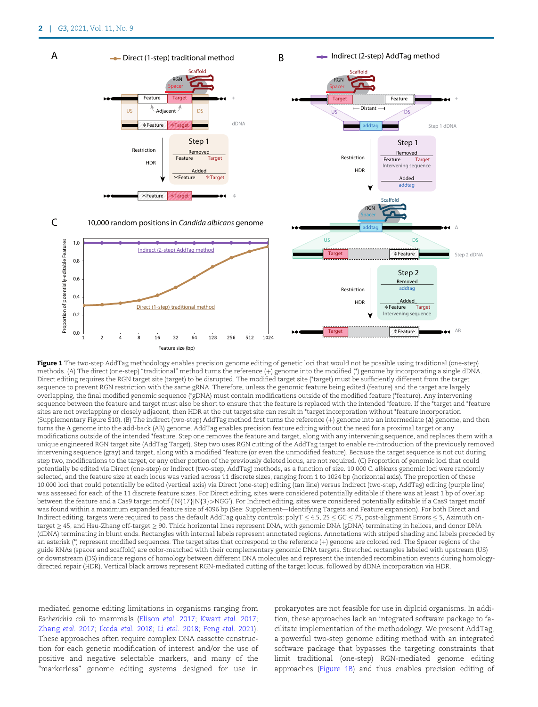<span id="page-1-0"></span>

Figure 1 The two-step AddTag methodology enables precision genome editing of genetic loci that would not be possible using traditional (one-step) methods. (A) The direct (one-step) "traditional" method turns the reference (þ) genome into the modified (\*) genome by incorporating a single dDNA. Direct editing requires the RGN target site (target) to be disrupted. The modified target site (\*target) must be sufficiently different from the target sequence to prevent RGN restriction with the same gRNA. Therefore, unless the genomic feature being edited (feature) and the target are largely overlapping, the final modified genomic sequence (\*gDNA) must contain modifications outside of the modified feature (\*feature). Any intervening sequence between the feature and target must also be short to ensure that the feature is replaced with the intended \*feature. If the \*target and \*feature sites are not overlapping or closely adjacent, then HDR at the cut target site can result in \*target incorporation without \*feature incorporation (Supplementary Figure S10). (B) The indirect (two-step) AddTag method first turns the reference  $(+)$  genome into an intermediate  $(\Delta)$  genome, and then turns the  $\Delta$  genome into the add-back (AB) genome. AddTag enables precision feature editing without the need for a proximal target or any modifications outside of the intended \*feature. Step one removes the feature and target, along with any intervening sequence, and replaces them with a unique engineered RGN target site (AddTag Target). Step two uses RGN cutting of the AddTag target to enable re-introduction of the previously removed intervening sequence (gray) and target, along with a modified \*feature (or even the unmodified feature). Because the target sequence is not cut during step two, modifications to the target, or any other portion of the previously deleted locus, are not required. (C) Proportion of genomic loci that could potentially be edited via Direct (one-step) or Indirect (two-step, AddTag) methods, as a function of size. 10,000 C. albicans genomic loci were randomly selected, and the feature size at each locus was varied across 11 discrete sizes, ranging from 1 to 1024 bp (horizontal axis). The proportion of these 10,000 loci that could potentially be edited (vertical axis) via Direct (one-step) editing (tan line) versus Indirect (two-step, AddTag) editing (purple line) was assessed for each of the 11 discrete feature sizes. For Direct editing, sites were considered potentially editable if there was at least 1 bp of overlap between the feature and a Cas9 target motif ('N{17}|N{3}>NGG'). For Indirect editing, sites were considered potentially editable if a Cas9 target motif was found within a maximum expanded feature size of 4096 bp (See: Supplement—Identifying Targets and Feature expansion). For both Direct and Indirect editing, targets were required to pass the default AddTag quality controls: polyT  $\leq$  4.5, 25  $\leq$  GC  $\leq$  75, post-alignment Errors  $\leq$  5, Azimuth ontarget  $\geq$  45, and Hsu-Zhang off-target  $\geq$  90. Thick horizontal lines represent DNA, with genomic DNA (gDNA) terminating in helices, and donor DNA (dDNA) terminating in blunt ends. Rectangles with internal labels represent annotated regions. Annotations with striped shading and labels preceded by an asterisk (\*) represent modified sequences. The target sites that correspond to the reference (+) genome are colored red. The Spacer regions of the guide RNAs (spacer and scaffold) are color-matched with their complementary genomic DNA targets. Stretched rectangles labeled with upstream (US) or downstream (DS) indicate regions of homology between different DNA molecules and represent the intended recombination events during homologydirected repair (HDR). Vertical black arrows represent RGN-mediated cutting of the target locus, followed by dDNA incorporation via HDR.

mediated genome editing limitations in organisms ranging from Escherichia coli to mammals [\(Elison](#page-8-0) etal. 2017; [Kwart](#page-9-0) etal. 2017; [Zhang](#page-9-0) etal. 2017; [Ikeda](#page-9-0) etal. 2018; Li etal. [2018;](#page-9-0) [Feng](#page-8-0) etal. 2021). These approaches often require complex DNA cassette construction for each genetic modification of interest and/or the use of positive and negative selectable markers, and many of the "markerless" genome editing systems designed for use in prokaryotes are not feasible for use in diploid organisms. In addition, these approaches lack an integrated software package to facilitate implementation of the methodology. We present AddTag, a powerful two-step genome editing method with an integrated software package that bypasses the targeting constraints that limit traditional (one-step) RGN-mediated genome editing approaches (Figure 1B) and thus enables precision editing of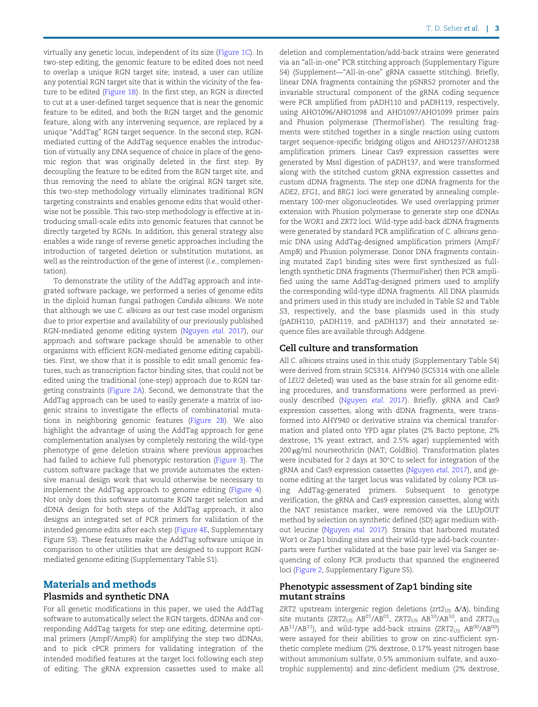virtually any genetic locus, independent of its size ([Figure 1C\)](#page-1-0). In two-step editing, the genomic feature to be edited does not need to overlap a unique RGN target site; instead, a user can utilize any potential RGN target site that is within the vicinity of the feature to be edited ([Figure 1B\)](#page-1-0). In the first step, an RGN is directed to cut at a user-defined target sequence that is near the genomic feature to be edited, and both the RGN target and the genomic feature, along with any intervening sequence, are replaced by a unique "AddTag" RGN target sequence. In the second step, RGNmediated cutting of the AddTag sequence enables the introduction of virtually any DNA sequence of choice in place of the genomic region that was originally deleted in the first step. By decoupling the feature to be edited from the RGN target site, and thus removing the need to ablate the original RGN target site, this two-step methodology virtually eliminates traditional RGN targeting constraints and enables genome edits that would otherwise not be possible. This two-step methodology is effective at introducing small-scale edits into genomic features that cannot be directly targeted by RGNs. In addition, this general strategy also enables a wide range of reverse genetic approaches including the introduction of targeted deletion or substitution mutations, as well as the reintroduction of the gene of interest (i.e., complementation).

To demonstrate the utility of the AddTag approach and integrated software package, we performed a series of genome edits in the diploid human fungal pathogen Candida albicans. We note that although we use C. albicans as our test case model organism due to prior expertise and availability of our previously published RGN-mediated genome editing system [\(Nguyen](#page-9-0) etal. 2017), our approach and software package should be amenable to other organisms with efficient RGN-mediated genome editing capabilities. First, we show that it is possible to edit small genomic features, such as transcription factor binding sites, that could not be edited using the traditional (one-step) approach due to RGN targeting constraints [\(Figure 2A](#page-3-0)). Second, we demonstrate that the AddTag approach can be used to easily generate a matrix of isogenic strains to investigate the effects of combinatorial mutations in neighboring genomic features ([Figure 2B](#page-3-0)). We also highlight the advantage of using the AddTag approach for gene complementation analyses by completely restoring the wild-type phenotype of gene deletion strains where previous approaches had failed to achieve full phenotypic restoration ([Figure 3](#page-4-0)). The custom software package that we provide automates the extensive manual design work that would otherwise be necessary to implement the AddTag approach to genome editing ([Figure 4\)](#page-4-0). Not only does this software automate RGN target selection and dDNA design for both steps of the AddTag approach, it also designs an integrated set of PCR primers for validation of the intended genome edits after each step ([Figure 4E,](#page-4-0) Supplementary Figure S3). These features make the AddTag software unique in comparison to other utilities that are designed to support RGNmediated genome editing (Supplementary Table S1).

# Materials and methods Plasmids and synthetic DNA

# For all genetic modifications in this paper, we used the AddTag software to automatically select the RGN targets, dDNAs and cor-

responding AddTag targets for step one editing, determine optimal primers (AmpF/AmpR) for amplifying the step two dDNAs, and to pick cPCR primers for validating integration of the intended modified features at the target loci following each step of editing. The gRNA expression cassettes used to make all deletion and complementation/add-back strains were generated via an "all-in-one" PCR stitching approach (Supplementary Figure S4) (Supplement—"All-in-one" gRNA cassette stitching). Briefly, linear DNA fragments containing the pSNR52 promoter and the invariable structural component of the gRNA coding sequence were PCR amplified from pADH110 and pADH119, respectively, using AHO1096/AHO1098 and AHO1097/AHO1099 primer pairs and Phusion polymerase (ThermoFisher). The resulting fragments were stitched together in a single reaction using custom target sequence-specific bridging oligos and AHO1237/AHO1238 amplification primers. Linear Cas9 expression cassettes were generated by MssI digestion of pADH137, and were transformed along with the stitched custom gRNA expression cassettes and custom dDNA fragments. The step one dDNA fragments for the ADE2, EFG1, and BRG1 loci were generated by annealing complementary 100-mer oligonucleotides. We used overlapping primer extension with Phusion polymerase to generate step one dDNAs for the WOR1 and ZRT2 loci. Wild-type add-back dDNA fragments were generated by standard PCR amplification of C. albicans genomic DNA using AddTag-designed amplification primers (AmpF/ AmpR) and Phusion polymerase. Donor DNA fragments containing mutated Zap1 binding sites were first synthesized as fulllength synthetic DNA fragments (ThermoFisher) then PCR amplified using the same AddTag-designed primers used to amplify the corresponding wild-type dDNA fragments. All DNA plasmids and primers used in this study are included in Table S2 and Table S3, respectively, and the base plasmids used in this study (pADH110, pADH119, and pADH137) and their annotated sequence files are available through Addgene.

#### Cell culture and transformation

All C. albicans strains used in this study (Supplementary Table S4) were derived from strain SC5314. AHY940 (SC5314 with one allele of LEU2 deleted) was used as the base strain for all genome editing procedures, and transformations were performed as previously described ([Nguyen](#page-9-0) etal. 2017). Briefly, gRNA and Cas9 expression cassettes, along with dDNA fragments, were transformed into AHY940 or derivative strains via chemical transformation and plated onto YPD agar plates (2% Bacto peptone, 2% dextrose, 1% yeast extract, and 2.5% agar) supplemented with 200 µg/ml nourseothricin (NAT; GoldBio). Transformation plates were incubated for 2 days at 30°C to select for integration of the gRNA and Cas9 expression cassettes ([Nguyen](#page-9-0) etal. 2017), and genome editing at the target locus was validated by colony PCR using AddTag-generated primers. Subsequent to genotype verification, the gRNA and Cas9 expression cassettes, along with the NAT resistance marker, were removed via the LEUpOUT method by selection on synthetic defined (SD) agar medium without leucine ([Nguyen](#page-9-0) etal. 2017). Strains that harbored mutated Wor1 or Zap1 binding sites and their wild-type add-back counterparts were further validated at the base pair level via Sanger sequencing of colony PCR products that spanned the engineered loci [\(Figure 2](#page-3-0), Supplementary Figure S5).

#### Phenotypic assessment of Zap1 binding site mutant strains

ZRT2 upstream intergenic region deletions (zrt2 $_{US}$   $\Delta/\Delta$ ), binding site mutants (ZRT2 $_{US}$  AB<sup>01</sup>/AB<sup>01</sup>, ZRT2 $_{US}$  AB<sup>10</sup>/AB<sup>10</sup>, and ZRT2 $_{US}$  $AB^{11}/AB^{11}$ ), and wild-type add-back strains (ZRT2 $_{US}$  AB<sup>00</sup>/AB<sup>00</sup>) were assayed for their abilities to grow on zinc-sufficient synthetic complete medium (2% dextrose, 0.17% yeast nitrogen base without ammonium sulfate, 0.5% ammonium sulfate, and auxotrophic supplements) and zinc-deficient medium (2% dextrose,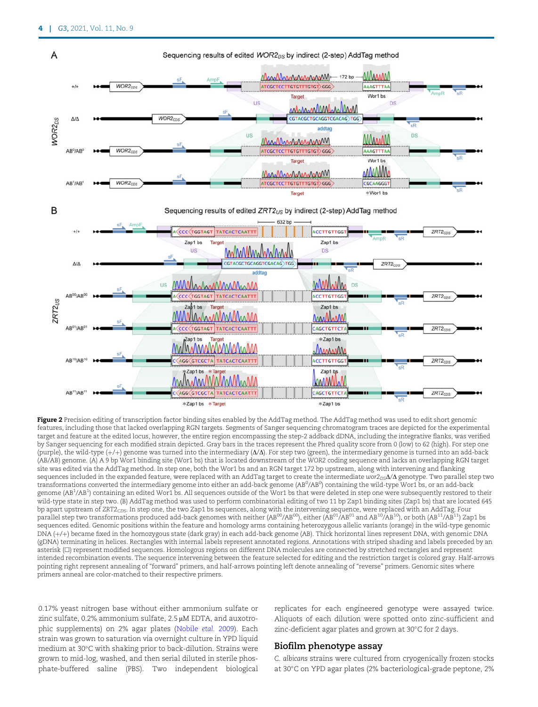<span id="page-3-0"></span>

Figure 2 Precision editing of transcription factor binding sites enabled by the AddTag method. The AddTag method was used to edit short genomic features, including those that lacked overlapping RGN targets. Segments of Sanger sequencing chromatogram traces are depicted for the experimental target and feature at the edited locus, however, the entire region encompassing the step-2 addback dDNA, including the integrative flanks, was verified by Sanger sequencing for each modified strain depicted. Gray bars in the traces represent the Phred quality score from 0 (low) to 62 (high). For step one (purple), the wild-type  $(+)+$ ) genome was turned into the intermediary  $(\Delta/\Delta)$ . For step two (green), the intermediary genome is turned into an add-back (AB/AB) genome. (A) A 9 bp Wor1 binding site (Wor1 bs) that is located downstream of the WOR2 coding sequence and lacks an overlapping RGN target site was edited via the AddTag method. In step one, both the Wor1 bs and an RGN target 172 bp upstream, along with intervening and flanking sequences included in the expanded feature, were replaced with an AddTag target to create the intermediate  $wor_{D5}\Delta/\Delta$  genotype. Two parallel step two transformations converted the intermediary genome into either an add-back genome (AB<sup>0</sup>/AB<sup>0</sup>) containing the wild-type Wor1 bs, or an add-back genome (AB<sup>1</sup>/AB<sup>1</sup>) containing an edited Wor1 bs. All sequences outside of the Wor1 bs that were deleted in step one were subsequently restored to their wild-type state in step two. (B) AddTag method was used to perform combinatorial editing of two 11 bp Zap1 binding sites (Zap1 bs) that are located 645 bp apart upstream of  $ZRT2<sub>CDS</sub>$ . In step one, the two Zap1 bs sequences, along with the intervening sequence, were replaced with an AddTag. Four parallel step two transformations produced add-back genomes with neither (AB<sup>00</sup>/AB<sup>00</sup>), either (AB<sup>01</sup>/AB<sup>01</sup> and AB<sup>10</sup>/AB<sup>10</sup>), or both (AB<sup>11</sup>/AB<sup>11</sup>) Zap1 bs sequences edited. Genomic positions within the feature and homology arms containing heterozygous allelic variants (orange) in the wild-type genomic DNA (+/+) became fixed in the homozygous state (dark gray) in each add-back genome (AB). Thick horizontal lines represent DNA, with genomic DNA (gDNA) terminating in helices. Rectangles with internal labels represent annotated regions. Annotations with striped shading and labels preceded by an asterisk ( $\square$ ) represent modified sequences. Homologous regions on different DNA molecules are connected by stretched rectangles and represent intended recombination events. The sequence intervening between the feature selected for editing and the restriction target is colored gray. Half-arrows pointing right represent annealing of "forward" primers, and half-arrows pointing left denote annealing of "reverse" primers. Genomic sites where primers anneal are color-matched to their respective primers.

0.17% yeast nitrogen base without either ammonium sulfate or zinc sulfate, 0.2% ammonium sulfate,  $2.5 \mu$ M EDTA, and auxotrophic supplements) on 2% agar plates [\(Nobile](#page-9-0) etal. 2009). Each strain was grown to saturation via overnight culture in YPD liquid medium at 30°C with shaking prior to back-dilution. Strains were grown to mid-log, washed, and then serial diluted in sterile phosphate-buffered saline (PBS). Two independent biological

replicates for each engineered genotype were assayed twice. Aliquots of each dilution were spotted onto zinc-sufficient and zinc-deficient agar plates and grown at 30°C for 2 days.

#### Biofilm phenotype assay

C. albicans strains were cultured from cryogenically frozen stocks at 30°C on YPD agar plates (2% bacteriological-grade peptone, 2%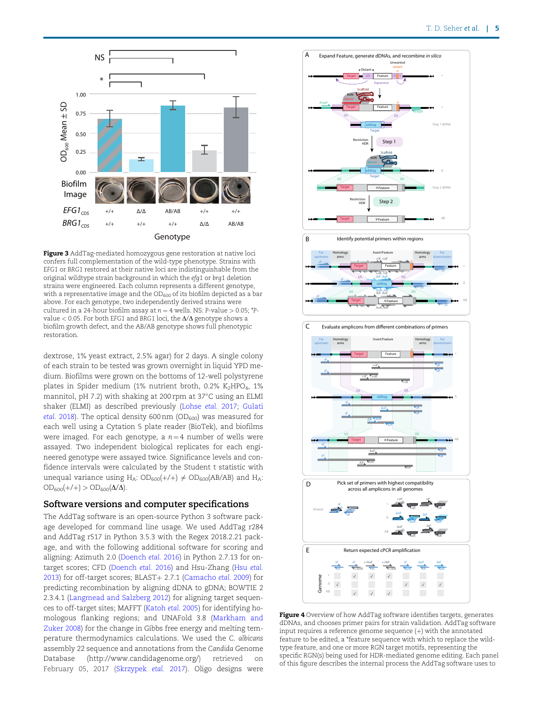<span id="page-4-0"></span>

Figure 3 AddTag-mediated homozygous gene restoration at native loci confers full complementation of the wild-type phenotype. Strains with EFG1 or BRG1 restored at their native loci are indistinguishable from the original wildtype strain background in which the efg1 or brg1 deletion strains were engineered. Each column represents a different genotype, with a representative image and the  $OD_{600}$  of its biofilm depicted as a bar above. For each genotype, two independently derived strains were cultured in a 24-hour biofilm assay at  $n = 4$  wells. NS: P-value  $> 0.05$ ; \*Pvalue  $<$  0.05. For both EFG1 and BRG1 loci, the  $\Delta/\Delta$  genotype shows a biofilm growth defect, and the AB/AB genotype shows full phenotypic restoration.

dextrose, 1% yeast extract, 2.5% agar) for 2 days. A single colony of each strain to be tested was grown overnight in liquid YPD medium. Biofilms were grown on the bottoms of 12-well polystyrene plates in Spider medium (1% nutrient broth, 0.2% K<sub>2</sub>HPO<sub>4</sub>, 1% mannitol, pH 7.2) with shaking at 200 rpm at  $37^{\circ}$ C using an ELMI shaker (ELMI) as described previously [\(Lohse](#page-9-0) etal. 2017; [Gulati](#page-9-0) etal. [2018](#page-9-0)). The optical density 600 nm (OD $_{600}$ ) was measured for each well using a Cytation 5 plate reader (BioTek), and biofilms were imaged. For each genotype, a  $n = 4$  number of wells were assayed. Two independent biological replicates for each engineered genotype were assayed twice. Significance levels and confidence intervals were calculated by the Student t statistic with unequal variance using H<sub>A</sub>:  $OD_{600}(+/+) \neq OD_{600}(AB/AB)$  and H<sub>A</sub>:  $OD_{600}(+/+)$  >  $OD_{600}(\Delta/\Delta)$ .

#### Software versions and computer specifications

The AddTag software is an open-source Python 3 software package developed for command line usage. We used AddTag r284 and AddTag r517 in Python 3.5.3 with the Regex 2018.2.21 package, and with the following additional software for scoring and aligning: Azimuth 2.0 [\(Doench](#page-8-0) etal. 2016) in Python 2.7.13 for ontarget scores; CFD ([Doench](#page-8-0) etal. 2016) and Hsu-Zhang [\(Hsu](#page-9-0) etal. [2013](#page-9-0)) for off-target scores; BLAST+ 2.7.1 [\(Camacho](#page-8-0) etal. 2009) for predicting recombination by aligning dDNA to gDNA; BOWTIE 2 2.3.4.1 ([Langmead and Salzberg 2012](#page-9-0)) for aligning target sequences to off-target sites; MAFFT [\(Katoh](#page-9-0) etal. 2005) for identifying homologous flanking regions; and UNAFold 3.8 ([Markham and](#page-9-0) [Zuker 2008\)](#page-9-0) for the change in Gibbs free energy and melting temperature thermodynamics calculations. We used the C. albicans assembly 22 sequence and annotations from the Candida Genome Database [\(http://www.candidagenome.org/](http://www.candidagenome.org/)) retrieved on February 05, 2017 ([Skrzypek](#page-9-0) etal. 2017). Oligo designs were



Figure 4 Overview of how AddTag software identifies targets, generates dDNAs, and chooses primer pairs for strain validation. AddTag software input requires a reference genome sequence  $(+)$  with the annotated feature to be edited, a \*feature sequence with which to replace the wildtype feature, and one or more RGN target motifs, representing the specific RGN(s) being used for HDR-mediated genome editing. Each panel of this figure describes the internal process the AddTag software uses to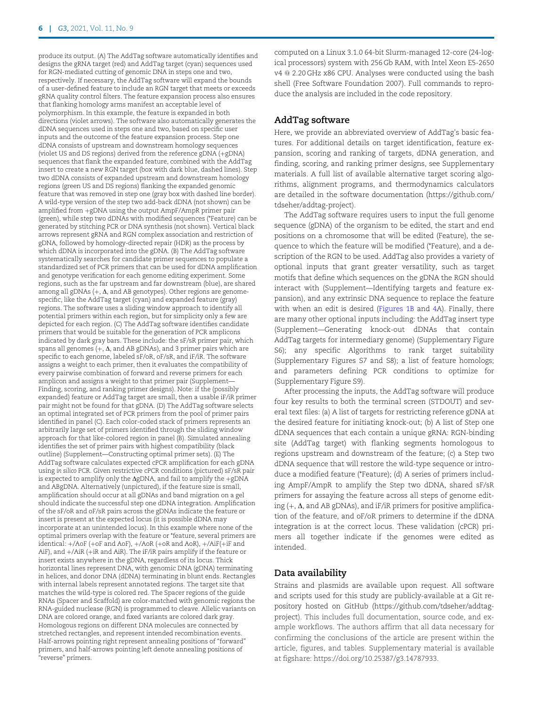produce its output. (A) The AddTag software automatically identifies and designs the gRNA target (red) and AddTag target (cyan) sequences used for RGN-mediated cutting of genomic DNA in steps one and two, respectively. If necessary, the AddTag software will expand the bounds of a user-defined feature to include an RGN target that meets or exceeds gRNA quality control filters. The feature expansion process also ensures that flanking homology arms manifest an acceptable level of polymorphism. In this example, the feature is expanded in both directions (violet arrows). The software also automatically generates the dDNA sequences used in steps one and two, based on specific user inputs and the outcome of the feature expansion process. Step one dDNA consists of upstream and downstream homology sequences (violet US and DS regions) derived from the reference  $\check{g}$ DNA (+ $g$ DNA) sequences that flank the expanded feature, combined with the AddTag insert to create a new RGN target (box with dark blue, dashed lines). Step two dDNA consists of expanded upstream and downstream homology regions (green US and DS regions) flanking the expanded genomic feature that was removed in step one (gray box with dashed line border). A wild-type version of the step two add-back dDNA (not shown) can be amplified from +gDNA using the output AmpF/AmpR primer pair (green), while step two dDNAs with modified sequences (\*Feature) can be generated by stitching PCR or DNA synthesis (not shown). Vertical black arrows represent gRNA and RGN complex association and restriction of gDNA, followed by homology-directed repair (HDR) as the process by which dDNA is incorporated into the gDNA. (B) The AddTag software systematically searches for candidate primer sequences to populate a standardized set of PCR primers that can be used for dDNA amplification and genotype verification for each genome editing experiment. Some regions, such as the far upstream and far downstream (blue), are shared among all gDNAs  $(+, \Delta, \text{and AB}$  genotypes). Other regions are genomespecific, like the AddTag target (cyan) and expanded feature (gray) regions. The software uses a sliding window approach to identify all potential primers within each region, but for simplicity only a few are depicted for each region. (C) The AddTag software identifies candidate primers that would be suitable for the generation of PCR amplicons indicated by dark gray bars. These include: the sF/sR primer pair, which spans all genomes  $(+, \Delta, \text{and } AB \text{ gDNAs})$ , and 3 primer pairs which are specific to each genome, labeled sF/oR, oF/sR, and iF/iR. The software assigns a weight to each primer, then it evaluates the compatibility of every pairwise combination of forward and reverse primers for each amplicon and assigns a weight to that primer pair (Supplement— Finding, scoring, and ranking primer designs). Note: if the (possibly expanded) feature or AddTag target are small, then a usable iF/iR primer pair might not be found for that gDNA. (D) The AddTag software selects an optimal integrated set of PCR primers from the pool of primer pairs identified in panel (C). Each color-coded stack of primers represents an arbitrarily large set of primers identified through the sliding window approach for that like-colored region in panel (B). Simulated annealing identifies the set of primer pairs with highest compatibility (black outline) (Supplement—Constructing optimal primer sets). (E) The AddTag software calculates expected cPCR amplification for each gDNA using in silico PCR. Given restrictive cPCR conditions (pictured) sF/sR pair is expected to amplify only the  $\Delta$ gDNA, and fail to amplify the +gDNA and ABgDNA. Alternatively (unpictured), if the feature size is small, amplification should occur at all gDNAs and band migration on a gel should indicate the successful step one dDNA integration. Amplification of the sF/oR and oF/sR pairs across the gDNAs indicate the feature or insert is present at the expected locus (it is possible dDNA may incorporate at an unintended locus). In this example where none of the optimal primers overlap with the feature or \*feature, several primers are identical: +/AoF (+oF and AoF), +/AoR (+oR and AoR), +/AiF(+iF and AiF), and  $+/A$ iR ( $+iR$  and AiR). The iF/iR pairs amplify if the feature or insert exists anywhere in the gDNA, regardless of its locus. Thick horizontal lines represent DNA, with genomic DNA (gDNA) terminating in helices, and donor DNA (dDNA) terminating in blunt ends. Rectangles with internal labels represent annotated regions. The target site that matches the wild-type is colored red. The Spacer regions of the guide RNAs (Spacer and Scaffold) are color-matched with genomic regions the RNA-guided nuclease (RGN) is programmed to cleave. Allelic variants on DNA are colored orange, and fixed variants are colored dark gray. Homologous regions on different DNA molecules are connected by stretched rectangles, and represent intended recombination events. Half-arrows pointing right represent annealing positions of "forward" primers, and half-arrows pointing left denote annealing positions of "reverse" primers.

computed on a Linux 3.1.0 64-bit Slurm-managed 12-core (24-logical processors) system with 256 Gb RAM, with Intel Xeon E5-2650 v4 @ 2.20 GHz x86 CPU. Analyses were conducted using the bash shell (Free Software Foundation 2007). Full commands to reproduce the analysis are included in the code repository.

## AddTag software

Here, we provide an abbreviated overview of AddTag's basic features. For additional details on target identification, feature expansion, scoring and ranking of targets, dDNA generation, and finding, scoring, and ranking primer designs, see Supplementary materials. A full list of available alternative target scoring algorithms, alignment programs, and thermodynamics calculators are detailed in the software documentation [\(https://github.com/](https://github.com/tdseher/addtag-project) [tdseher/addtag-project](https://github.com/tdseher/addtag-project)).

The AddTag software requires users to input the full genome sequence (gDNA) of the organism to be edited, the start and end positions on a chromosome that will be edited (Feature), the sequence to which the feature will be modified (\*Feature), and a description of the RGN to be used. AddTag also provides a variety of optional inputs that grant greater versatility, such as target motifs that define which sequences on the gDNA the RGN should interact with (Supplement—Identifying targets and feature expansion), and any extrinsic DNA sequence to replace the feature with when an edit is desired [\(Figures 1B](#page-1-0) and [4A](#page-4-0)). Finally, there are many other optional inputs including: the AddTag insert type (Supplement—Generating knock-out dDNAs that contain AddTag targets for intermediary genome) (Supplementary Figure S6); any specific Algorithms to rank target suitability (Supplementary Figures S7 and S8); a list of feature homologs; and parameters defining PCR conditions to optimize for (Supplementary Figure S9).

After processing the inputs, the AddTag software will produce four key results to both the terminal screen (STDOUT) and several text files: (a) A list of targets for restricting reference gDNA at the desired feature for initiating knock-out; (b) A list of Step one dDNA sequences that each contain a unique gRNA: RGN-binding site (AddTag target) with flanking segments homologous to regions upstream and downstream of the feature; (c) a Step two dDNA sequence that will restore the wild-type sequence or introduce a modified feature (\*Feature); (d) A series of primers including AmpF/AmpR to amplify the Step two dDNA, shared sF/sR primers for assaying the feature across all steps of genome editing  $(+)$ ,  $\Delta$ , and AB gDNAs), and iF/iR primers for positive amplification of the feature, and oF/oR primers to determine if the dDNA integration is at the correct locus. These validation (cPCR) primers all together indicate if the genomes were edited as intended.

## Data availability

Strains and plasmids are available upon request. All software and scripts used for this study are publicly-available at a Git repository hosted on GitHub [\(https://github.com/tdseher/addtag](https://github.com/tdseher/addtag-project)[project\)](https://github.com/tdseher/addtag-project). This includes full documentation, source code, and example workflows. The authors affirm that all data necessary for confirming the conclusions of the article are present within the article, figures, and tables. Supplementary material is available at figshare: [https://doi.org/10.25387/g3.14787933.](https://doi.org/10.25387/g3.14787933)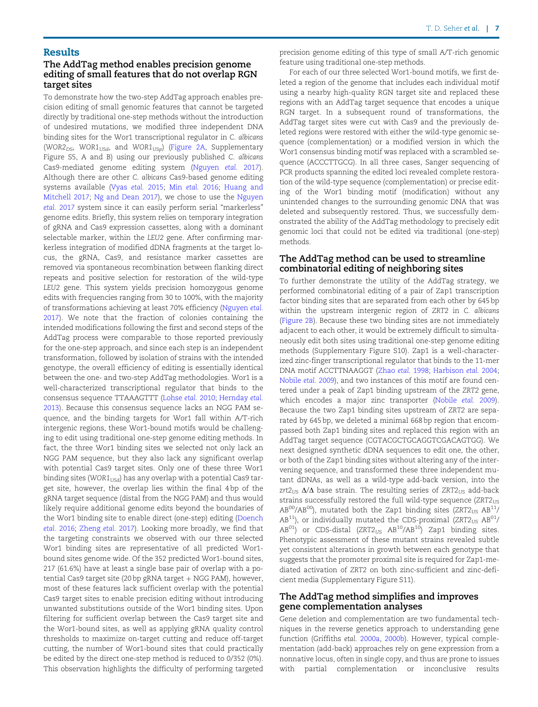# The AddTag method enables precision genome editing of small features that do not overlap RGN target sites

To demonstrate how the two-step AddTag approach enables precision editing of small genomic features that cannot be targeted directly by traditional one-step methods without the introduction of undesired mutations, we modified three independent DNA binding sites for the Wor1 transcriptional regulator in C. albicans (WOR2<sub>DS</sub>, WOR1<sub>USd</sub>, and WOR1<sub>USp</sub>) [\(Figure 2A](#page-3-0), Supplementary Figure S5, A and B) using our previously published C. albicans Cas9-mediated genome editing system ([Nguyen](#page-9-0) etal. 2017). Although there are other C. albicans Cas9-based genome editing systems available [\(Vyas](#page-9-0) etal. 2015; Min etal. [2016;](#page-9-0) [Huang and](#page-9-0) [Mitchell 2017;](#page-9-0) [Ng and Dean 2017\)](#page-9-0), we chose to use the [Nguyen](#page-9-0) etal. [2017](#page-9-0) system since it can easily perform serial "markerless" genome edits. Briefly, this system relies on temporary integration of gRNA and Cas9 expression cassettes, along with a dominant selectable marker, within the LEU2 gene. After confirming markerless integration of modified dDNA fragments at the target locus, the gRNA, Cas9, and resistance marker cassettes are removed via spontaneous recombination between flanking direct repeats and positive selection for restoration of the wild-type LEU2 gene. This system yields precision homozygous genome edits with frequencies ranging from 30 to 100%, with the majority of transformations achieving at least 70% efficiency [\(Nguyen](#page-9-0) etal. [2017](#page-9-0)). We note that the fraction of colonies containing the intended modifications following the first and second steps of the AddTag process were comparable to those reported previously for the one-step approach, and since each step is an independent transformation, followed by isolation of strains with the intended genotype, the overall efficiency of editing is essentially identical between the one- and two-step AddTag methodologies. Wor1 is a well-characterized transcriptional regulator that binds to the consensus sequence TTAAAGTTT [\(Lohse](#page-9-0) etal. 2010; [Hernday](#page-9-0) etal. [2013](#page-9-0)). Because this consensus sequence lacks an NGG PAM sequence, and the binding targets for Wor1 fall within A/T-rich intergenic regions, these Wor1-bound motifs would be challenging to edit using traditional one-step genome editing methods. In fact, the three Wor1 binding sites we selected not only lack an NGG PAM sequence, but they also lack any significant overlap with potential Cas9 target sites. Only one of these three Wor1 binding sites (WOR $1_{USd}$ ) has any overlap with a potential Cas9 target site, however, the overlap lies within the final 4 bp of the gRNA target sequence (distal from the NGG PAM) and thus would likely require additional genome edits beyond the boundaries of the Wor1 binding site to enable direct (one-step) editing ([Doench](#page-8-0) etal. [2016;](#page-8-0) [Zheng](#page-9-0) etal. 2017). Looking more broadly, we find that the targeting constraints we observed with our three selected Wor1 binding sites are representative of all predicted Wor1 bound sites genome wide. Of the 352 predicted Wor1-bound sites, 217 (61.6%) have at least a single base pair of overlap with a potential Cas9 target site (20 bp gRNA target  $+$  NGG PAM), however, most of these features lack sufficient overlap with the potential Cas9 target sites to enable precision editing without introducing unwanted substitutions outside of the Wor1 binding sites. Upon filtering for sufficient overlap between the Cas9 target site and the Wor1-bound sites, as well as applying gRNA quality control thresholds to maximize on-target cutting and reduce off-target cutting, the number of Wor1-bound sites that could practically be edited by the direct one-step method is reduced to 0/352 (0%). This observation highlights the difficulty of performing targeted

precision genome editing of this type of small A/T-rich genomic feature using traditional one-step methods.

For each of our three selected Wor1-bound motifs, we first deleted a region of the genome that includes each individual motif using a nearby high-quality RGN target site and replaced these regions with an AddTag target sequence that encodes a unique RGN target. In a subsequent round of transformations, the AddTag target sites were cut with Cas9 and the previously deleted regions were restored with either the wild-type genomic sequence (complementation) or a modified version in which the Wor1 consensus binding motif was replaced with a scrambled sequence (ACCCTTGCG). In all three cases, Sanger sequencing of PCR products spanning the edited loci revealed complete restoration of the wild-type sequence (complementation) or precise editing of the Wor1 binding motif (modification) without any unintended changes to the surrounding genomic DNA that was deleted and subsequently restored. Thus, we successfully demonstrated the ability of the AddTag methodology to precisely edit genomic loci that could not be edited via traditional (one-step) methods.

#### The AddTag method can be used to streamline combinatorial editing of neighboring sites

To further demonstrate the utility of the AddTag strategy, we performed combinatorial editing of a pair of Zap1 transcription factor binding sites that are separated from each other by 645 bp within the upstream intergenic region of ZRT2 in C. albicans ([Figure 2B\)](#page-3-0). Because these two binding sites are not immediately adjacent to each other, it would be extremely difficult to simultaneously edit both sites using traditional one-step genome editing methods (Supplementary Figure S10). Zap1 is a well-characterized zinc-finger transcriptional regulator that binds to the 11-mer DNA motif ACCTTNAAGGT ([Zhao](#page-9-0) etal. 1998; [Harbison](#page-9-0) etal. 2004; [Nobile](#page-9-0) etal. 2009), and two instances of this motif are found centered under a peak of Zap1 binding upstream of the ZRT2 gene, which encodes a major zinc transporter ([Nobile](#page-9-0) etal. 2009). Because the two Zap1 binding sites upstream of ZRT2 are separated by 645 bp, we deleted a minimal 668 bp region that encompassed both Zap1 binding sites and replaced this region with an AddTag target sequence (CGTACGCTGCAGGTCGACAGTGG). We next designed synthetic dDNA sequences to edit one, the other, or both of the Zap1 binding sites without altering any of the intervening sequence, and transformed these three independent mutant dDNAs, as well as a wild-type add-back version, into the zrt2<sub>US</sub>  $\Delta/\Delta$  base strain. The resulting series of ZRT2<sub>US</sub> add-back strains successfully restored the full wild-type sequence  $(ZRT2<sub>US</sub>)$  $AB^{00}/AB^{00}$ ), mutated both the Zap1 binding sites (ZRT2 $_{US}$  AB<sup>11</sup>/  $AB^{11}$ ), or individually mutated the CDS-proximal (ZRT2 $_{US}$  AB<sup>01</sup>/  $AB^{01}$ ) or CDS-distal (ZRT2<sub>US</sub>  $AB^{10}/AB^{10}$ ) Zap1 binding sites. Phenotypic assessment of these mutant strains revealed subtle yet consistent alterations in growth between each genotype that suggests that the promoter proximal site is required for Zap1-mediated activation of ZRT2 on both zinc-sufficient and zinc-deficient media (Supplementary Figure S11).

## The AddTag method simplifies and improves gene complementation analyses

Gene deletion and complementation are two fundamental techniques in the reverse genetics approach to understanding gene function (Griffiths etal. [2000a](#page-9-0), [2000b\)](#page-9-0). However, typical complementation (add-back) approaches rely on gene expression from a nonnative locus, often in single copy, and thus are prone to issues with partial complementation or inconclusive results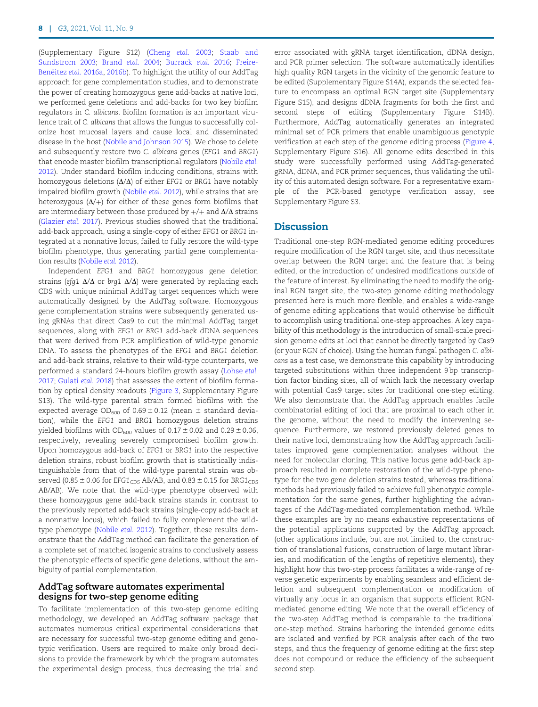(Supplementary Figure S12) ([Cheng](#page-8-0) etal. 2003; [Staab and](#page-9-0) [Sundstrom 2003](#page-9-0); [Brand](#page-8-0) etal. 2004; [Burrack](#page-8-0) etal. 2016; [Freire-](#page-9-0)Benéitez etal. 2016a, [2016b](#page-9-0)). To highlight the utility of our AddTag approach for gene complementation studies, and to demonstrate the power of creating homozygous gene add-backs at native loci, we performed gene deletions and add-backs for two key biofilm regulators in C. albicans. Biofilm formation is an important virulence trait of C. albicans that allows the fungus to successfully colonize host mucosal layers and cause local and disseminated disease in the host ([Nobile and Johnson 2015\)](#page-9-0). We chose to delete and subsequently restore two C. albicans genes (EFG1 and BRG1) that encode master biofilm transcriptional regulators [\(Nobile](#page-9-0) etal. [2012\)](#page-9-0). Under standard biofilm inducing conditions, strains with homozygous deletions  $(\Delta/\Delta)$  of either EFG1 or BRG1 have notably impaired biofilm growth [\(Nobile](#page-9-0) etal. 2012), while strains that are heterozygous  $(\Delta/+)$  for either of these genes form biofilms that are intermediary between those produced by  $+/+$  and  $\Delta/\Delta$  strains ([Glazier](#page-9-0) etal. 2017). Previous studies showed that the traditional add-back approach, using a single-copy of either EFG1 or BRG1 integrated at a nonnative locus, failed to fully restore the wild-type biofilm phenotype, thus generating partial gene complementation results [\(Nobile](#page-9-0) etal. 2012).

Independent EFG1 and BRG1 homozygous gene deletion strains (efg1  $\Delta/\Delta$  or brg1  $\Delta/\Delta$ ) were generated by replacing each CDS with unique minimal AddTag target sequences which were automatically designed by the AddTag software. Homozygous gene complementation strains were subsequently generated using gRNAs that direct Cas9 to cut the minimal AddTag target sequences, along with EFG1 or BRG1 add-back dDNA sequences that were derived from PCR amplification of wild-type genomic DNA. To assess the phenotypes of the EFG1 and BRG1 deletion and add-back strains, relative to their wild-type counterparts, we performed a standard 24-hours biofilm growth assay [\(Lohse](#page-9-0) etal. [2017;](#page-9-0) [Gulati](#page-9-0) etal. 2018) that assesses the extent of biofilm formation by optical density readouts ([Figure 3,](#page-4-0) Supplementary Figure S13). The wild-type parental strain formed biofilms with the expected average OD<sub>600</sub> of 0.69  $\pm$  0.12 (mean  $\pm$  standard deviation), while the EFG1 and BRG1 homozygous deletion strains yielded biofilms with OD<sub>600</sub> values of  $0.17 \pm 0.02$  and  $0.29 \pm 0.06$ , respectively, revealing severely compromised biofilm growth. Upon homozygous add-back of EFG1 or BRG1 into the respective deletion strains, robust biofilm growth that is statistically indistinguishable from that of the wild-type parental strain was observed (0.85  $\pm$  0.06 for EFG1<sub>CDS</sub> AB/AB, and 0.83  $\pm$  0.15 for BRG1<sub>CDS</sub> AB/AB). We note that the wild-type phenotype observed with these homozygous gene add-back strains stands in contrast to the previously reported add-back strains (single-copy add-back at a nonnative locus), which failed to fully complement the wildtype phenotype ([Nobile](#page-9-0) etal. 2012). Together, these results demonstrate that the AddTag method can facilitate the generation of a complete set of matched isogenic strains to conclusively assess the phenotypic effects of specific gene deletions, without the ambiguity of partial complementation.

#### AddTag software automates experimental designs for two-step genome editing

To facilitate implementation of this two-step genome editing methodology, we developed an AddTag software package that automates numerous critical experimental considerations that are necessary for successful two-step genome editing and genotypic verification. Users are required to make only broad decisions to provide the framework by which the program automates the experimental design process, thus decreasing the trial and

error associated with gRNA target identification, dDNA design, and PCR primer selection. The software automatically identifies high quality RGN targets in the vicinity of the genomic feature to be edited (Supplementary Figure S14A), expands the selected feature to encompass an optimal RGN target site (Supplementary Figure S15), and designs dDNA fragments for both the first and second steps of editing (Supplementary Figure S14B). Furthermore, AddTag automatically generates an integrated minimal set of PCR primers that enable unambiguous genotypic verification at each step of the genome editing process ([Figure 4,](#page-4-0) Supplementary Figure S16). All genome edits described in this study were successfully performed using AddTag-generated gRNA, dDNA, and PCR primer sequences, thus validating the utility of this automated design software. For a representative example of the PCR-based genotype verification assay, see Supplementary Figure S3.

# **Discussion**

Traditional one-step RGN-mediated genome editing procedures require modification of the RGN target site, and thus necessitate overlap between the RGN target and the feature that is being edited, or the introduction of undesired modifications outside of the feature of interest. By eliminating the need to modify the original RGN target site, the two-step genome editing methodology presented here is much more flexible, and enables a wide-range of genome editing applications that would otherwise be difficult to accomplish using traditional one-step approaches. A key capability of this methodology is the introduction of small-scale precision genome edits at loci that cannot be directly targeted by Cas9 (or your RGN of choice). Using the human fungal pathogen C. albicans as a test case, we demonstrate this capability by introducing targeted substitutions within three independent 9 bp transcription factor binding sites, all of which lack the necessary overlap with potential Cas9 target sites for traditional one-step editing. We also demonstrate that the AddTag approach enables facile combinatorial editing of loci that are proximal to each other in the genome, without the need to modify the intervening sequence. Furthermore, we restored previously deleted genes to their native loci, demonstrating how the AddTag approach facilitates improved gene complementation analyses without the need for molecular cloning. This native locus gene add-back approach resulted in complete restoration of the wild-type phenotype for the two gene deletion strains tested, whereas traditional methods had previously failed to achieve full phenotypic complementation for the same genes, further highlighting the advantages of the AddTag-mediated complementation method. While these examples are by no means exhaustive representations of the potential applications supported by the AddTag approach (other applications include, but are not limited to, the construction of translational fusions, construction of large mutant libraries, and modification of the lengths of repetitive elements), they highlight how this two-step process facilitates a wide-range of reverse genetic experiments by enabling seamless and efficient deletion and subsequent complementation or modification of virtually any locus in an organism that supports efficient RGNmediated genome editing. We note that the overall efficiency of the two-step AddTag method is comparable to the traditional one-step method. Strains harboring the intended genome edits are isolated and verified by PCR analysis after each of the two steps, and thus the frequency of genome editing at the first step does not compound or reduce the efficiency of the subsequent second step.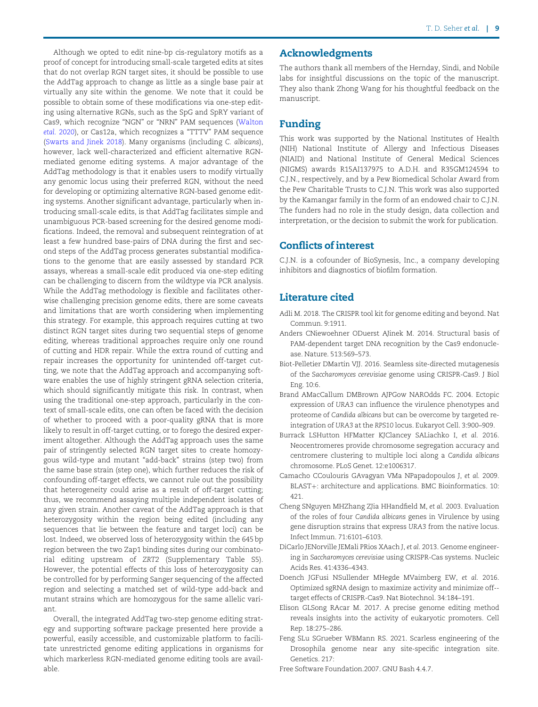<span id="page-8-0"></span>Although we opted to edit nine-bp cis-regulatory motifs as a proof of concept for introducing small-scale targeted edits at sites that do not overlap RGN target sites, it should be possible to use the AddTag approach to change as little as a single base pair at virtually any site within the genome. We note that it could be possible to obtain some of these modifications via one-step editing using alternative RGNs, such as the SpG and SpRY variant of Cas9, which recognize "NGN" or "NRN" PAM sequences ([Walton](#page-9-0) etal. [2020\)](#page-9-0), or Cas12a, which recognizes a "TTTV" PAM sequence ([Swarts and Jinek 2018](#page-9-0)). Many organisms (including C. albicans), however, lack well-characterized and efficient alternative RGNmediated genome editing systems. A major advantage of the AddTag methodology is that it enables users to modify virtually any genomic locus using their preferred RGN, without the need for developing or optimizing alternative RGN-based genome editing systems. Another significant advantage, particularly when introducing small-scale edits, is that AddTag facilitates simple and unambiguous PCR-based screening for the desired genome modifications. Indeed, the removal and subsequent reintegration of at least a few hundred base-pairs of DNA during the first and second steps of the AddTag process generates substantial modifications to the genome that are easily assessed by standard PCR assays, whereas a small-scale edit produced via one-step editing can be challenging to discern from the wildtype via PCR analysis. While the AddTag methodology is flexible and facilitates otherwise challenging precision genome edits, there are some caveats and limitations that are worth considering when implementing this strategy. For example, this approach requires cutting at two distinct RGN target sites during two sequential steps of genome editing, whereas traditional approaches require only one round of cutting and HDR repair. While the extra round of cutting and repair increases the opportunity for unintended off-target cutting, we note that the AddTag approach and accompanying software enables the use of highly stringent gRNA selection criteria, which should significantly mitigate this risk. In contrast, when using the traditional one-step approach, particularly in the context of small-scale edits, one can often be faced with the decision of whether to proceed with a poor-quality gRNA that is more likely to result in off-target cutting, or to forego the desired experiment altogether. Although the AddTag approach uses the same pair of stringently selected RGN target sites to create homozygous wild-type and mutant "add-back" strains (step two) from the same base strain (step one), which further reduces the risk of confounding off-target effects, we cannot rule out the possibility that heterogeneity could arise as a result of off-target cutting; thus, we recommend assaying multiple independent isolates of any given strain. Another caveat of the AddTag approach is that heterozygosity within the region being edited (including any sequences that lie between the feature and target loci) can be lost. Indeed, we observed loss of heterozygosity within the 645 bp region between the two Zap1 binding sites during our combinatorial editing upstream of ZRT2 (Supplementary Table S5). However, the potential effects of this loss of heterozygosity can be controlled for by performing Sanger sequencing of the affected region and selecting a matched set of wild-type add-back and mutant strains which are homozygous for the same allelic variant.

Overall, the integrated AddTag two-step genome editing strategy and supporting software package presented here provide a powerful, easily accessible, and customizable platform to facilitate unrestricted genome editing applications in organisms for which markerless RGN-mediated genome editing tools are available.

# Acknowledgments

The authors thank all members of the Hernday, Sindi, and Nobile labs for insightful discussions on the topic of the manuscript. They also thank Zhong Wang for his thoughtful feedback on the manuscript.

# Funding

This work was supported by the National Institutes of Health (NIH) National Institute of Allergy and Infectious Diseases (NIAID) and National Institute of General Medical Sciences (NIGMS) awards R15AI137975 to A.D.H. and R35GM124594 to C.J.N., respectively, and by a Pew Biomedical Scholar Award from the Pew Charitable Trusts to C.J.N. This work was also supported by the Kamangar family in the form of an endowed chair to C.J.N. The funders had no role in the study design, data collection and interpretation, or the decision to submit the work for publication.

# Conflicts of interest

C.J.N. is a cofounder of BioSynesis, Inc., a company developing inhibitors and diagnostics of biofilm formation.

# Literature cited

- Adli M. 2018. The CRISPR tool kit for genome editing and beyond. Nat Commun. 9:1911.
- Anders CNiewoehner ODuerst AJinek M. 2014. Structural basis of PAM-dependent target DNA recognition by the Cas9 endonuclease. Nature. 513:569–573.
- Biot-Pelletier DMartin VJJ. 2016. Seamless site-directed mutagenesis of the Saccharomyces cerevisiae genome using CRISPR-Cas9. J Biol Eng. 10:6.
- Brand AMacCallum DMBrown AJPGow NAROdds FC. 2004. Ectopic expression of URA3 can influence the virulence phenotypes and proteome of Candida albicans but can be overcome by targeted reintegration of URA3 at the RPS10 locus. Eukaryot Cell. 3:900–909.
- Burrack LSHutton HFMatter KJClancey SALiachko I, et al. 2016. Neocentromeres provide chromosome segregation accuracy and centromere clustering to multiple loci along a Candida albicans chromosome. PLoS Genet. 12:e1006317.
- Camacho CCoulouris GAvagyan VMa NPapadopoulos J, et al. 2009. BLAST+: architecture and applications. BMC Bioinformatics. 10: 421.
- Cheng SNguyen MHZhang ZJia HHandfield M, et al. 2003. Evaluation of the roles of four Candida albicans genes in Virulence by using gene disruption strains that express URA3 from the native locus. Infect Immun. 71:6101–6103.
- DiCarlo JENorville JEMali PRios XAach J, et al. 2013. Genome engineering in Saccharomyces cerevisiae using CRISPR-Cas systems. Nucleic Acids Res. 41:4336–4343.
- Doench JGFusi NSullender MHegde MVaimberg EW, et al. 2016. Optimized sgRNA design to maximize activity and minimize off- target effects of CRISPR-Cas9. Nat Biotechnol. 34:184–191.
- Elison GLSong RAcar M. 2017. A precise genome editing method reveals insights into the activity of eukaryotic promoters. Cell Rep. 18:275–286.
- Feng SLu SGrueber WBMann RS. 2021. Scarless engineering of the Drosophila genome near any site-specific integration site. Genetics. 217:

Free Software Foundation.2007. GNU Bash 4.4.7.